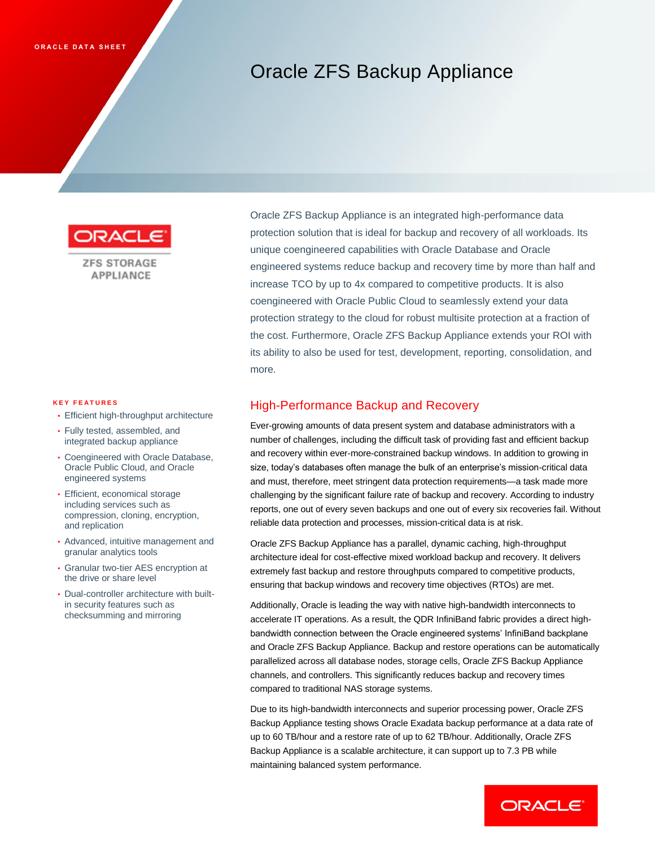# Oracle ZFS Backup Appliance



**ZFS STORAGE** APPLIANCE

#### **K E Y F E A T U R E S**

- Efficient high-throughput architecture
- Fully tested, assembled, and integrated backup appliance
- Coengineered with Oracle Database, Oracle Public Cloud, and Oracle engineered systems
- Efficient, economical storage including services such as compression, cloning, encryption, and replication
- Advanced, intuitive management and granular analytics tools
- Granular two-tier AES encryption at the drive or share level
- Dual-controller architecture with builtin security features such as checksumming and mirroring

Oracle ZFS Backup Appliance is an integrated high-performance data protection solution that is ideal for backup and recovery of all workloads. Its unique coengineered capabilities with Oracle Database and Oracle engineered systems reduce backup and recovery time by more than half and increase TCO by up to 4x compared to competitive products. It is also coengineered with Oracle Public Cloud to seamlessly extend your data protection strategy to the cloud for robust multisite protection at a fraction of the cost. Furthermore, Oracle ZFS Backup Appliance extends your ROI with its ability to also be used for test, development, reporting, consolidation, and more.

#### High-Performance Backup and Recovery

Ever-growing amounts of data present system and database administrators with a number of challenges, including the difficult task of providing fast and efficient backup and recovery within ever-more-constrained backup windows. In addition to growing in size, today's databases often manage the bulk of an enterprise's mission-critical data and must, therefore, meet stringent data protection requirements—a task made more challenging by the significant failure rate of backup and recovery. According to industry reports, one out of every seven backups and one out of every six recoveries fail. Without reliable data protection and processes, mission-critical data is at risk.

Oracle ZFS Backup Appliance has a parallel, dynamic caching, high-throughput architecture ideal for cost-effective mixed workload backup and recovery. It delivers extremely fast backup and restore throughputs compared to competitive products, ensuring that backup windows and recovery time objectives (RTOs) are met.

Additionally, Oracle is leading the way with native high-bandwidth interconnects to accelerate IT operations. As a result, the QDR InfiniBand fabric provides a direct highbandwidth connection between the Oracle engineered systems' InfiniBand backplane and Oracle ZFS Backup Appliance. Backup and restore operations can be automatically parallelized across all database nodes, storage cells, Oracle ZFS Backup Appliance channels, and controllers. This significantly reduces backup and recovery times compared to traditional NAS storage systems.

Due to its high-bandwidth interconnects and superior processing power, Oracle ZFS Backup Appliance testing shows Oracle Exadata backup performance at a data rate of up to 60 TB/hour and a restore rate of up to 62 TB/hour. Additionally, Oracle ZFS Backup Appliance is a scalable architecture, it can support up to 7.3 PB while maintaining balanced system performance.

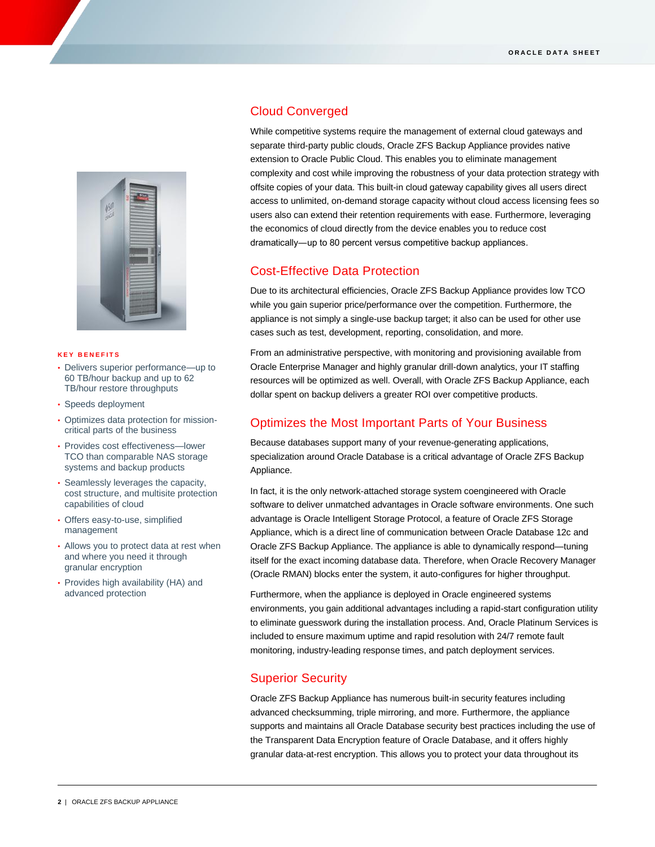

#### **K E Y B E N E F I T S**

- Delivers superior performance—up to 60 TB/hour backup and up to 62 TB/hour restore throughputs
- Speeds deployment
- Optimizes data protection for missioncritical parts of the business
- Provides cost effectiveness—lower TCO than comparable NAS storage systems and backup products
- Seamlessly leverages the capacity, cost structure, and multisite protection capabilities of cloud
- Offers easy-to-use, simplified management
- Allows you to protect data at rest when and where you need it through granular encryption
- Provides high availability (HA) and advanced protection

# Cloud Converged

While competitive systems require the management of external cloud gateways and separate third-party public clouds, Oracle ZFS Backup Appliance provides native extension to Oracle Public Cloud. This enables you to eliminate management complexity and cost while improving the robustness of your data protection strategy with offsite copies of your data. This built-in cloud gateway capability gives all users direct access to unlimited, on-demand storage capacity without cloud access licensing fees so users also can extend their retention requirements with ease. Furthermore, leveraging the economics of cloud directly from the device enables you to reduce cost dramatically―up to 80 percent versus competitive backup appliances.

# Cost-Effective Data Protection

Due to its architectural efficiencies, Oracle ZFS Backup Appliance provides low TCO while you gain superior price/performance over the competition. Furthermore, the appliance is not simply a single-use backup target; it also can be used for other use cases such as test, development, reporting, consolidation, and more.

From an administrative perspective, with monitoring and provisioning available from Oracle Enterprise Manager and highly granular drill-down analytics, your IT staffing resources will be optimized as well. Overall, with Oracle ZFS Backup Appliance, each dollar spent on backup delivers a greater ROI over competitive products.

# Optimizes the Most Important Parts of Your Business

Because databases support many of your revenue-generating applications, specialization around Oracle Database is a critical advantage of Oracle ZFS Backup Appliance.

In fact, it is the only network-attached storage system coengineered with Oracle software to deliver unmatched advantages in Oracle software environments. One such advantage is Oracle Intelligent Storage Protocol, a feature of Oracle ZFS Storage Appliance, which is a direct line of communication between Oracle Database 12c and Oracle ZFS Backup Appliance. The appliance is able to dynamically respond—tuning itself for the exact incoming database data. Therefore, when Oracle Recovery Manager (Oracle RMAN) blocks enter the system, it auto-configures for higher throughput.

Furthermore, when the appliance is deployed in Oracle engineered systems environments, you gain additional advantages including a rapid-start configuration utility to eliminate guesswork during the installation process. And, Oracle Platinum Services is included to ensure maximum uptime and rapid resolution with 24/7 remote fault monitoring, industry-leading response times, and patch deployment services.

# Superior Security

Oracle ZFS Backup Appliance has numerous built-in security features including advanced checksumming, triple mirroring, and more. Furthermore, the appliance supports and maintains all Oracle Database security best practices including the use of the Transparent Data Encryption feature of Oracle Database, and it offers highly granular data-at-rest encryption. This allows you to protect your data throughout its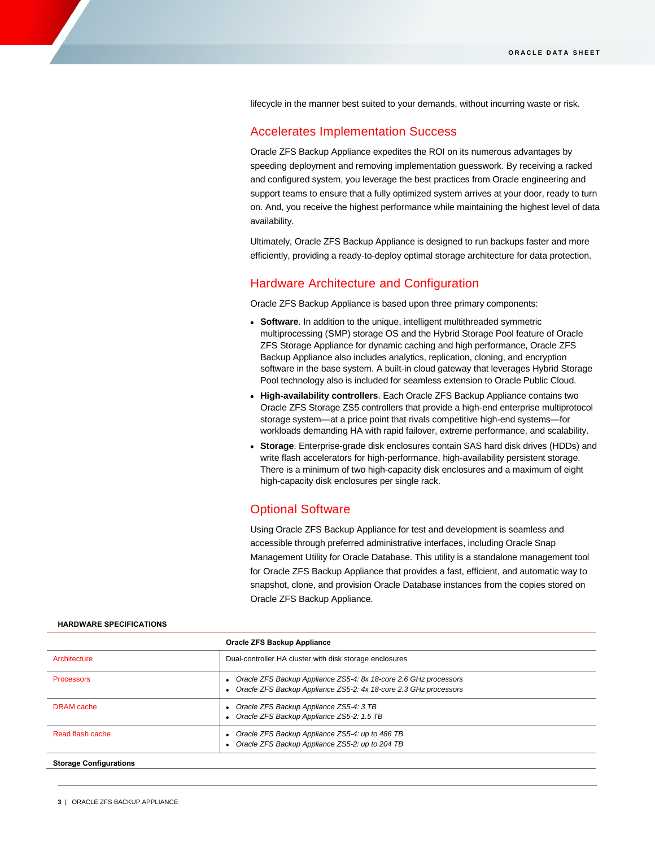lifecycle in the manner best suited to your demands, without incurring waste or risk.

#### Accelerates Implementation Success

Oracle ZFS Backup Appliance expedites the ROI on its numerous advantages by speeding deployment and removing implementation guesswork. By receiving a racked and configured system, you leverage the best practices from Oracle engineering and support teams to ensure that a fully optimized system arrives at your door, ready to turn on. And, you receive the highest performance while maintaining the highest level of data availability.

Ultimately, Oracle ZFS Backup Appliance is designed to run backups faster and more efficiently, providing a ready-to-deploy optimal storage architecture for data protection.

#### Hardware Architecture and Configuration

Oracle ZFS Backup Appliance is based upon three primary components:

- **Software**. In addition to the unique, intelligent multithreaded symmetric multiprocessing (SMP) storage OS and the Hybrid Storage Pool feature of Oracle ZFS Storage Appliance for dynamic caching and high performance, Oracle ZFS Backup Appliance also includes analytics, replication, cloning, and encryption software in the base system. A built-in cloud gateway that leverages Hybrid Storage Pool technology also is included for seamless extension to Oracle Public Cloud.
- **High-availability controllers**. Each Oracle ZFS Backup Appliance contains two Oracle ZFS Storage ZS5 controllers that provide a high-end enterprise multiprotocol storage system—at a price point that rivals competitive high-end systems—for workloads demanding HA with rapid failover, extreme performance, and scalability.
- **Storage**. Enterprise-grade disk enclosures contain SAS hard disk drives (HDDs) and write flash accelerators for high-performance, high-availability persistent storage. There is a minimum of two high-capacity disk enclosures and a maximum of eight high-capacity disk enclosures per single rack.

#### Optional Software

Using Oracle ZFS Backup Appliance for test and development is seamless and accessible through preferred administrative interfaces, including Oracle Snap Management Utility for Oracle Database. This utility is a standalone management tool for Oracle ZFS Backup Appliance that provides a fast, efficient, and automatic way to snapshot, clone, and provision Oracle Database instances from the copies stored on Oracle ZFS Backup Appliance.

| Oracle ZFS Backup Appliance   |                                                                                                                                        |  |
|-------------------------------|----------------------------------------------------------------------------------------------------------------------------------------|--|
| Architecture                  | Dual-controller HA cluster with disk storage enclosures                                                                                |  |
| <b>Processors</b>             | • Oracle ZFS Backup Appliance ZS5-4: 8x 18-core 2.6 GHz processors<br>Oracle ZFS Backup Appliance ZS5-2: 4x 18-core 2.3 GHz processors |  |
| DRAM cache                    | Oracle ZFS Backup Appliance ZS5-4: 3 TB<br>Oracle ZFS Backup Appliance ZS5-2: 1.5 TB                                                   |  |
| Read flash cache              | Oracle ZFS Backup Appliance ZS5-4: up to 486 TB<br>Oracle ZFS Backup Appliance ZS5-2: up to 204 TB                                     |  |
| <b>Storage Configurations</b> |                                                                                                                                        |  |

#### **HARDWARE SPECIFICATIONS**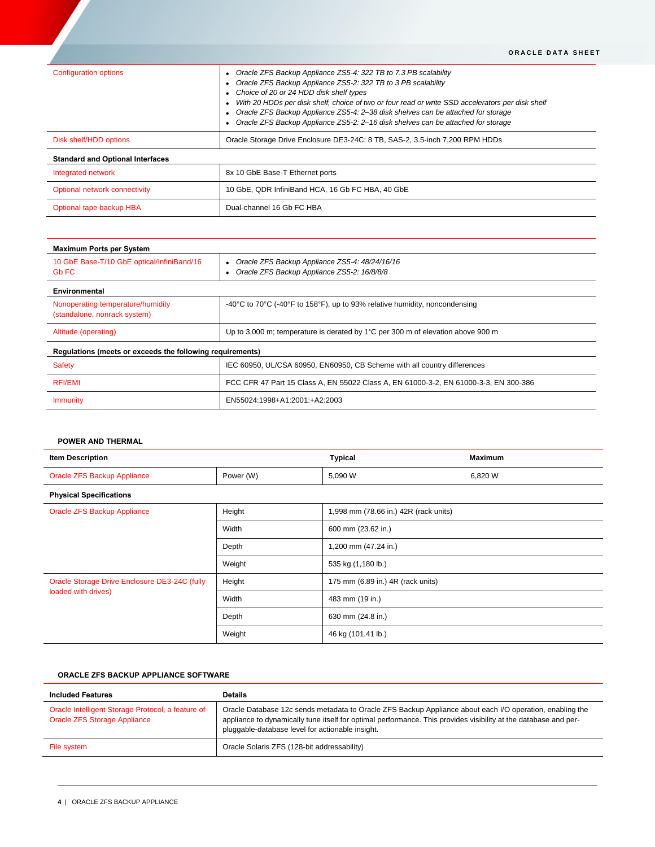|                                         | ORACLE DATA SHEET                                                                                                                                                                                                                                                                                                                                                                                                                                       |
|-----------------------------------------|---------------------------------------------------------------------------------------------------------------------------------------------------------------------------------------------------------------------------------------------------------------------------------------------------------------------------------------------------------------------------------------------------------------------------------------------------------|
| <b>Configuration options</b>            | Oracle ZFS Backup Appliance ZS5-4: 322 TB to 7.3 PB scalability<br>Oracle ZFS Backup Appliance ZS5-2: 322 TB to 3 PB scalability<br>Choice of 20 or 24 HDD disk shelf types<br>With 20 HDDs per disk shelf, choice of two or four read or write SSD accelerators per disk shelf<br>Oracle ZFS Backup Appliance ZS5-4: 2-38 disk shelves can be attached for storage<br>Oracle ZFS Backup Appliance ZS5-2: 2-16 disk shelves can be attached for storage |
| Disk shelf/HDD options                  | Oracle Storage Drive Enclosure DE3-24C: 8 TB, SAS-2, 3.5-inch 7,200 RPM HDDs                                                                                                                                                                                                                                                                                                                                                                            |
| <b>Standard and Optional Interfaces</b> |                                                                                                                                                                                                                                                                                                                                                                                                                                                         |
| Integrated network                      | 8x 10 GbE Base-T Ethernet ports                                                                                                                                                                                                                                                                                                                                                                                                                         |
| Optional network connectivity           | 10 GbE, QDR InfiniBand HCA, 16 Gb FC HBA, 40 GbE                                                                                                                                                                                                                                                                                                                                                                                                        |
| Optional tape backup HBA                | Dual-channel 16 Gb FC HBA                                                                                                                                                                                                                                                                                                                                                                                                                               |

| <b>Maximum Ports per System</b>                                   |                                                                                                                    |  |  |  |
|-------------------------------------------------------------------|--------------------------------------------------------------------------------------------------------------------|--|--|--|
| 10 GbE Base-T/10 GbE optical/InfiniBand/16<br>Gb FC               | • Oracle ZFS Backup Appliance ZS5-4: 48/24/16/16<br>Oracle ZFS Backup Appliance ZS5-2: 16/8/8/8                    |  |  |  |
| Environmental                                                     |                                                                                                                    |  |  |  |
| Nonoperating temperature/humidity<br>(standalone, nonrack system) | -40 $\degree$ C to 70 $\degree$ C (-40 $\degree$ F to 158 $\degree$ F), up to 93% relative humidity, noncondensing |  |  |  |
| Altitude (operating)                                              | Up to 3,000 m; temperature is derated by 1°C per 300 m of elevation above 900 m                                    |  |  |  |
| Regulations (meets or exceeds the following requirements)         |                                                                                                                    |  |  |  |
| Safety                                                            | IEC 60950, UL/CSA 60950, EN60950, CB Scheme with all country differences                                           |  |  |  |
| <b>RFI/EMI</b>                                                    | FCC CFR 47 Part 15 Class A, EN 55022 Class A, EN 61000-3-2, EN 61000-3-3, EN 300-386                               |  |  |  |
| <b>Immunity</b>                                                   | EN55024:1998+A1:2001:+A2:2003                                                                                      |  |  |  |

#### **POWER AND THERMAL**

| <b>Item Description</b>                                              |           | <b>Typical</b>                        | <b>Maximum</b> |  |
|----------------------------------------------------------------------|-----------|---------------------------------------|----------------|--|
| Oracle ZFS Backup Appliance                                          | Power (W) | 5,090 W                               | 6,820 W        |  |
| <b>Physical Specifications</b>                                       |           |                                       |                |  |
| Oracle ZFS Backup Appliance                                          | Height    | 1,998 mm (78.66 in.) 42R (rack units) |                |  |
|                                                                      | Width     | 600 mm (23.62 in.)                    |                |  |
|                                                                      | Depth     | 1,200 mm (47.24 in.)                  |                |  |
|                                                                      | Weight    | 535 kg (1,180 lb.)                    |                |  |
| Oracle Storage Drive Enclosure DE3-24C (fully<br>loaded with drives) | Height    | 175 mm (6.89 in.) 4R (rack units)     |                |  |
|                                                                      | Width     | 483 mm (19 in.)                       |                |  |
|                                                                      | Depth     | 630 mm (24.8 in.)                     |                |  |
|                                                                      | Weight    | 46 kg (101.41 lb.)                    |                |  |

#### **ORACLE ZFS BACKUP APPLIANCE SOFTWARE**

| <b>Included Features</b>                                                                 | <b>Details</b>                                                                                                                                                                                                                                                                  |
|------------------------------------------------------------------------------------------|---------------------------------------------------------------------------------------------------------------------------------------------------------------------------------------------------------------------------------------------------------------------------------|
| Oracle Intelligent Storage Protocol, a feature of<br><b>Oracle ZFS Storage Appliance</b> | Oracle Database 12c sends metadata to Oracle ZFS Backup Appliance about each I/O operation, enabling the<br>appliance to dynamically tune itself for optimal performance. This provides visibility at the database and per-<br>pluggable-database level for actionable insight. |
| File system                                                                              | Oracle Solaris ZFS (128-bit addressability)                                                                                                                                                                                                                                     |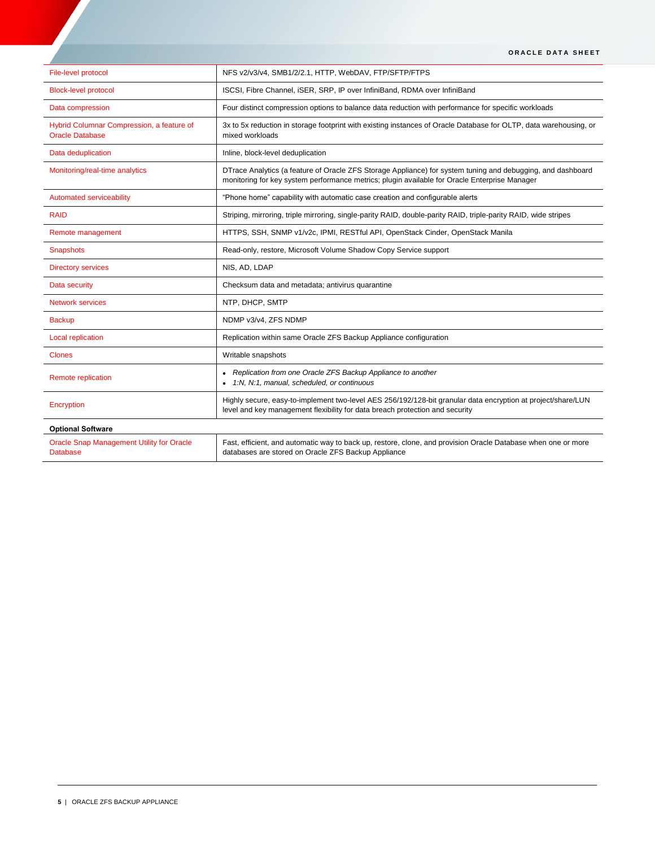| File-level protocol                                                 | NFS v2/v3/v4, SMB1/2/2.1, HTTP, WebDAV, FTP/SFTP/FTPS                                                                                                                                                        |
|---------------------------------------------------------------------|--------------------------------------------------------------------------------------------------------------------------------------------------------------------------------------------------------------|
| <b>Block-level protocol</b>                                         | ISCSI, Fibre Channel, iSER, SRP, IP over InfiniBand, RDMA over InfiniBand                                                                                                                                    |
| Data compression                                                    | Four distinct compression options to balance data reduction with performance for specific workloads                                                                                                          |
| Hybrid Columnar Compression, a feature of<br><b>Oracle Database</b> | 3x to 5x reduction in storage footprint with existing instances of Oracle Database for OLTP, data warehousing, or<br>mixed workloads                                                                         |
| Data deduplication                                                  | Inline, block-level deduplication                                                                                                                                                                            |
| Monitoring/real-time analytics                                      | DTrace Analytics (a feature of Oracle ZFS Storage Appliance) for system tuning and debugging, and dashboard<br>monitoring for key system performance metrics; plugin available for Oracle Enterprise Manager |
| Automated serviceability                                            | "Phone home" capability with automatic case creation and configurable alerts                                                                                                                                 |
| <b>RAID</b>                                                         | Striping, mirroring, triple mirroring, single-parity RAID, double-parity RAID, triple-parity RAID, wide stripes                                                                                              |
| Remote management                                                   | HTTPS, SSH, SNMP v1/v2c, IPMI, RESTful API, OpenStack Cinder, OpenStack Manila                                                                                                                               |
| Snapshots                                                           | Read-only, restore, Microsoft Volume Shadow Copy Service support                                                                                                                                             |
| <b>Directory services</b>                                           | NIS, AD, LDAP                                                                                                                                                                                                |
| Data security                                                       | Checksum data and metadata; antivirus quarantine                                                                                                                                                             |
| <b>Network services</b>                                             | NTP, DHCP, SMTP                                                                                                                                                                                              |
| <b>Backup</b>                                                       | NDMP v3/v4, ZFS NDMP                                                                                                                                                                                         |
| Local replication                                                   | Replication within same Oracle ZFS Backup Appliance configuration                                                                                                                                            |
| <b>Clones</b>                                                       | Writable snapshots                                                                                                                                                                                           |
| Remote replication                                                  | Replication from one Oracle ZFS Backup Appliance to another<br>• 1:N, N:1, manual, scheduled, or continuous                                                                                                  |
| Encryption                                                          | Highly secure, easy-to-implement two-level AES 256/192/128-bit granular data encryption at project/share/LUN<br>level and key management flexibility for data breach protection and security                 |
| <b>Optional Software</b>                                            |                                                                                                                                                                                                              |
| <b>Oracle Snap Management Utility for Oracle</b><br>Database        | Fast, efficient, and automatic way to back up, restore, clone, and provision Oracle Database when one or more<br>databases are stored on Oracle ZFS Backup Appliance                                         |

**ORACLE DATA SHEET**